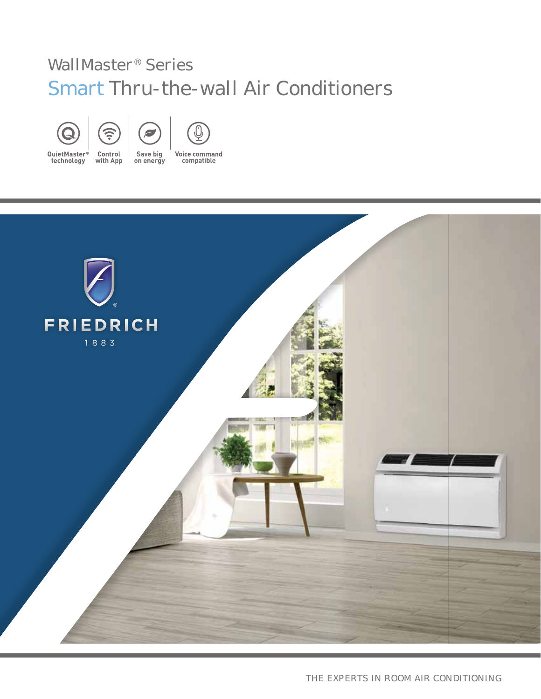# WallMaster® Series Smart Thru-the-wall Air Conditioners







QuietMaster® Control technology with App

Save big on energy **Voice command** compatible

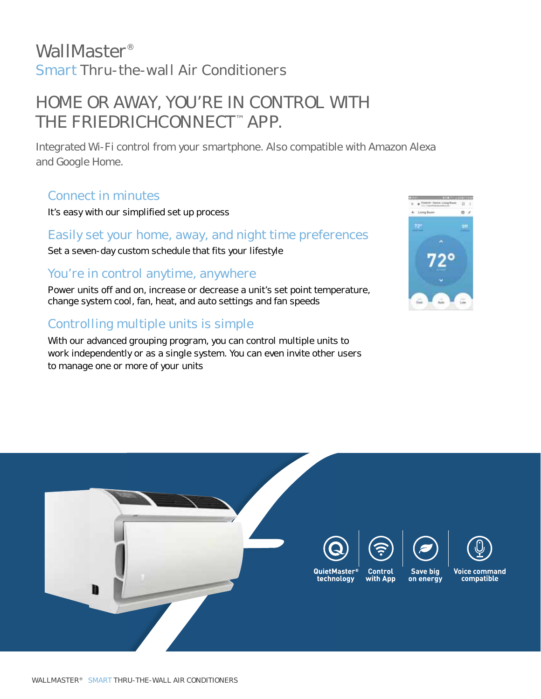# WallMaster® Smart Thru-the-wall Air Conditioners

# HOME OR AWAY, YOU'RE IN CONTROL WITH THE FRIEDRICHCONNECT™ APP.

Integrated Wi-Fi control from your smartphone. Also compatible with Amazon Alexa and Google Home.

## Connect in minutes

It's easy with our simplified set up process

### Easily set your home, away, and night time preferences

Set a seven-day custom schedule that fits your lifestyle

### You're in control anytime, anywhere

Power units off and on, increase or decrease a unit's set point temperature, change system cool, fan, heat, and auto settings and fan speeds

## Controlling multiple units is simple

With our advanced grouping program, you can control multiple units to work independently or as a single system. You can even invite other users to manage one or more of your units



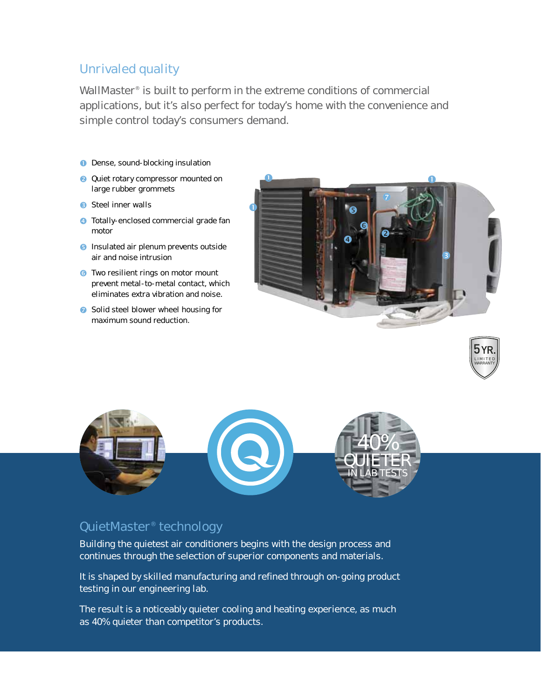### Unrivaled quality

WallMaster<sup>®</sup> is built to perform in the extreme conditions of commercial applications, but it's also perfect for today's home with the convenience and simple control today's consumers demand.

- **O** Dense, sound-blocking insulation
- **Q** Quiet rotary compressor mounted on large rubber grommets
- **B** Steel inner walls
- **4** Totally-enclosed commercial grade fan motor
- **B** Insulated air plenum prevents outside air and noise intrusion
- **o** Two resilient rings on motor mount prevent metal-to-metal contact, which eliminates extra vibration and noise.
- Solid steel blower wheel housing for maximum sound reduction.







### QuietMaster® technology

Building the quietest air conditioners begins with the design process and continues through the selection of superior components and materials.

It is shaped by skilled manufacturing and refined through on-going product testing in our engineering lab.

The result is a noticeably quieter cooling and heating experience, as much as 40% quieter than competitor's products.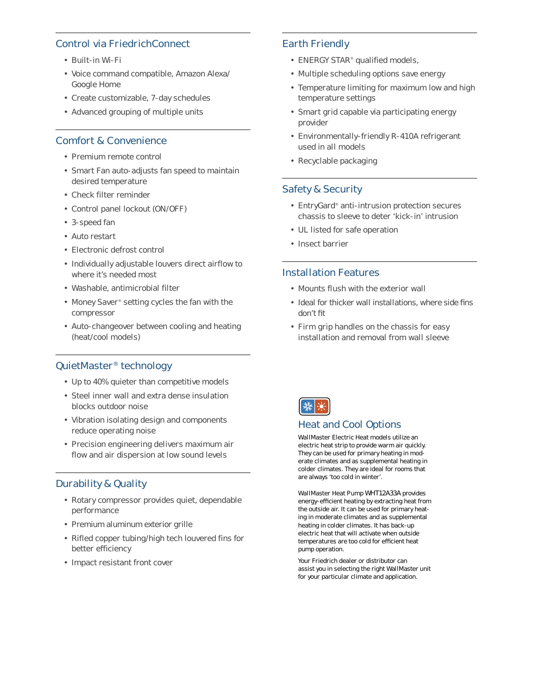#### Control via FriedrichConnect

- Built-in Wi-Fi
- Voice command compatible, Amazon Alexa/ Google Home
- Create customizable, 7-day schedules
- Advanced grouping of multiple units

#### Comfort & Convenience

- Premium remote control
- Smart Fan auto-adjusts fan speed to maintain desired temperature
- Check filter reminder
- Control panel lockout (ON/OFF)
- 3-speed fan
- Auto restart
- Electronic defrost control
- Individually adjustable louvers direct airflow to where it's needed most
- Washable, antimicrobial filter
- Money Saver® setting cycles the fan with the compressor
- Auto-changeover between cooling and heating (heat/cool models)

#### QuietMaster® technology

- Up to 40% quieter than competitive models
- Steel inner wall and extra dense insulation blocks outdoor noise
- Vibration isolating design and components reduce operating noise
- Precision engineering delivers maximum air flow and air dispersion at low sound levels

#### Durability & Quality

- Rotary compressor provides quiet, dependable performance
- Premium aluminum exterior grille
- Rifled copper tubing/high tech louvered fins for better efficiency
- Impact resistant front cover

#### Earth Friendly

- ENERGY STAR® qualified models,
- Multiple scheduling options save energy
- Temperature limiting for maximum low and high temperature settings
- Smart grid capable via participating energy provider
- Environmentally-friendly R-410A refrigerant used in all models
- Recyclable packaging

#### Safety & Security

- EntryGard® anti-intrusion protection secures chassis to sleeve to deter 'kick-in' intrusion
- UL listed for safe operation
- Insect barrier

#### Installation Features

- Mounts flush with the exterior wall
- Ideal for thicker wall installations, where side fins don't fit
- Firm grip handles on the chassis for easy installation and removal from wall sleeve



#### Heat and Cool Options

WallMaster Electric Heat models utilize an electric heat strip to provide warm air quickly. They can be used for primary heating in moderate climates and as supplemental heating in colder climates. They are ideal for rooms that are always 'too cold in winter'.

WallMaster Heat Pump WHT12A33A provides energy-efficient heating by extracting heat from the outside air. It can be used for primary heating in moderate climates and as supplemental heating in colder climates. It has back-up electric heat that will activate when outside temperatures are too cold for efficient heat pump operation.

Your Friedrich dealer or distributor can assist you in selecting the right WallMaster unit for your particular climate and application.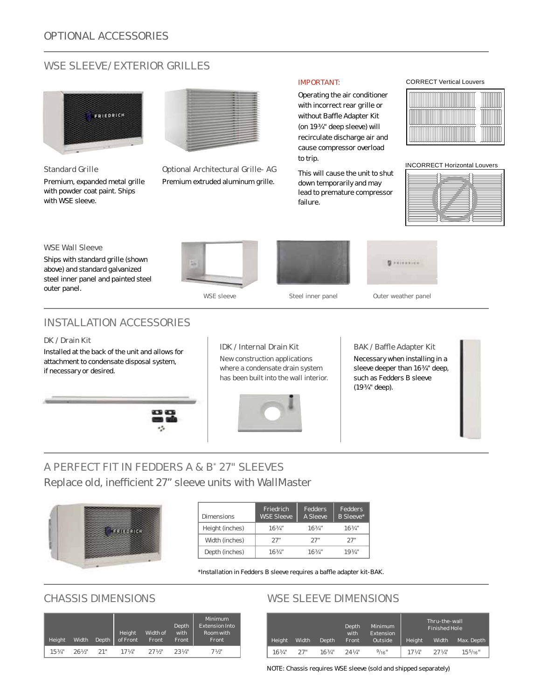### WSE SLEEVE/ EXTERIOR GRILLES



**Standard Grille**

Premium, expanded metal grille with powder coat paint. Ships with WSE sleeve.



**Optional Architectural Grille**- **AG** Premium extruded aluminum grille.

#### IMPORTANT:

Operating the air conditioner with incorrect rear grille or without Baffle Adapter Kit (on 19 ¾" deep sleeve) will recirculate discharge air and cause compressor overload to trip.

This will cause the unit to shut down temporarily and may lead to premature compressor failure.

#### CORRECT Vertical Louvers



INCORRECT Horizontal Louvers

#### **WSE Wall Sleeve**

Ships with standard grille (shown above) and standard galvanized steel inner panel and painted steel outer panel.



WSE sleeve Steel inner panel Outer weather panel

**Sites State** 

### INSTALLATION ACCESSORIES

#### **DK / Drain Kit**

Installed at the back of the unit and allows for attachment to condensate disposal system, if necessary or desired.



#### **IDK / Internal Drain Kit**

New construction applications where a condensate drain system has been built into the wall interior.



#### **BAK / Baffl e Adapter Kit**

Necessary when installing in a sleeve deeper than 16 3/4" deep, such as Fedders B sleeve (19 ¾" deep).

### A PERFECT FIT IN FEDDERS A & B\* 27" SLEEVES Replace old, inefficient 27" sleeve units with WallMaster



| Dimensions      | Friedrich<br><b>WSE Sleeve</b> | Fedders<br>A Sleeve | Fedders.<br>B Sleeve* |
|-----------------|--------------------------------|---------------------|-----------------------|
| Height (inches) | $16\frac{3}{4}$ "              | 163/4"              | 163/4"                |
| Width (inches)  | 27"                            | 27"                 | 27"                   |
| Depth (inches)  | 163/4''                        | 163/4''             | 1934″                 |

\*Installation in Fedders B sleeve requires a baffle adapter kit-BAK.

| Height  | Width               | Depth | Height Widtho<br>of Front Front | Width of         | Depth<br>with<br>Front | Minimum<br><b>Extension Into</b><br>Room with<br>Front |
|---------|---------------------|-------|---------------------------------|------------------|------------------------|--------------------------------------------------------|
| 15.3/4" | $26\frac{1}{2}$ 21" |       | 17 Va''                         | $27\,\mathrm{K}$ | $23$ $\frac{1}{4}$     | $7\frac{1}{2}$                                         |

### CHASSIS DIMENSIONS WSE SLEEVE DIMENSIONS

| Height | Width | Depth  | Depth<br>with<br>Front | <b>Minimum</b><br>Extension<br>Outside | Height    | Thru-the-wall<br><b>Finished Hole</b><br>Width | Max. Depth         |
|--------|-------|--------|------------------------|----------------------------------------|-----------|------------------------------------------------|--------------------|
| 163/4" | 27"   | 163/4" | $24$ $\frac{1}{4}$     | 9/16"                                  | $171/4$ " | $27$ $\frac{1}{4}$ "                           | $15\frac{5}{16}$ " |

NOTE: Chassis requires WSE sleeve (sold and shipped separately)